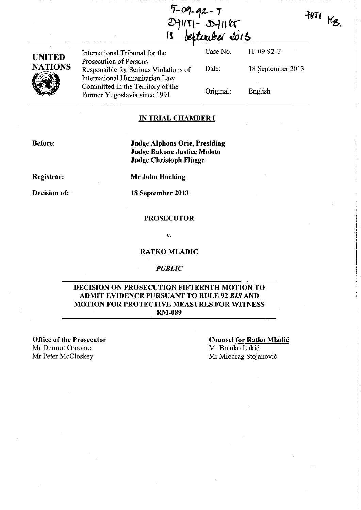| $9 - 9 - 92 - 7$            |  |
|-----------------------------|--|
| $D$ $H$ $T$ $I - D$ $H$ $K$ |  |
| 18 September 2015           |  |

 $HIII$  Kg.

| <b>UNITED</b>  | International Tribunal for the                                                                    | Case No.  | $IT-09-92-T$      |
|----------------|---------------------------------------------------------------------------------------------------|-----------|-------------------|
| <b>NATIONS</b> | Prosecution of Persons<br>Responsible for Serious Violations of<br>International Humanitarian Law | Date:     | 18 September 2013 |
|                | Committed in the Territory of the<br>Former Yugoslavia since 1991                                 | Original: | English           |

## IN TRIAL CHAMBER I

Before:

Judge Alphons Orie, Presiding Judge Bakone Justice Moloto Judge Christoph Fliigge

Registrar:

Decision of:

Mr John Hocking

18 September 2013

## PROSECUTOR

v.

## RATKO MLADIC

#### *PUBLIC*

## DECISION ON PROSECUTION FIFTEENTH MOTION TO ADMIT EVIDENCE PURSUANT TO RULE 92 *BIS* AND MOTION FOR PROTECTIVE MEASURES FOR WITNESS RM-089

Office of the Prosecutor Mr Dermot Groome<br>Mr Peter McCloskey

**Counsel for Ratko Mladić** Mr Branko Lukić Mr Miodrag Stojanović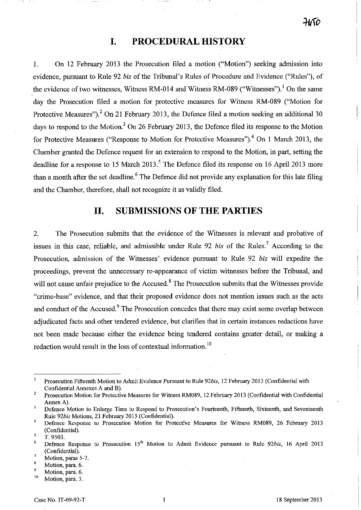# **I. PROCEDURAL HISTORY**

1. On 12 February 2013 the Prosecution filed a motion ("Motion") seeking admission into evidence, pursuant to Rule 92 *bis* of the Tribunal's Rules of Procedure and Evidence ("Rules"), of the evidence of two witnesses, Witness RM-014 and Witness RM-089 ("Witnesses").<sup>1</sup> On the same day the Prosecution filed a motion for protective measures for Witness RM-089 ("Motion for Protective Measures").<sup>2</sup> On 21 February 2013, the Defence filed a motion seeking an additional 30 days to respond to the Motion.<sup>3</sup> On 26 February 2013, the Defence filed its response to the Motion for Protective Measures ("Response to Motion for Protective Measures").<sup>4</sup> On 1 March 2013, the Chamber granted the Defence request for an extension to respond to the Motion, in part, setting the deadline for a response to 15 March 2013.<sup>5</sup> The Defence filed its response on 16 April 2013 more than a month after the set deadline.<sup>6</sup> The Defence did not provide any explanation for this late filing and the Chamber, therefore, shall not recognize it as validly filed.

# **11. SUBMISSIONS OF THE PARTIES**

2. The Prosecution submits that the evidence of the Witnesses is relevant and probative of issues in this case, reliable, and admissible under Rule 92 *bis* of the Rules.<sup>7</sup> According to the Prosecution, admission of the Witnesses' evidence pursuant to Rule 92 *bis* will expedite the proceedings, prevent the unnecessary re-appearance of victim witnesses before the Tribunal, and will not cause unfair prejudice to the Accused.<sup>8</sup> The Prosecution submits that the Witnesses provide "crime-base" evidence, and that their proposed evidence does not mention issues such as the acts and conduct of the Accused.<sup>9</sup> The Prosecution concedes that there may exist some overlap between adjudicated facts and other tendered evidence, but clarifies that in certain instances redactions have not been made because either the evidence being tendered contains greater detail, or making a redaction would result in the loss of contextual information. 10

Prosecution Fifteenth Motion to Admit Evidence Pursuant to Rule *92bis,* 12 February 2013 (Confidential with Confidential Annexes A and B).

<sup>2</sup>  Prosecution Motion for Protective Measures for Witness RM089, 12 February 2013 (Confidential with Confidential Annex A).

 $\overline{\mathbf{3}}$ Defence Motion to Enlarge Time to Respond to Prosecution's Fourteenth, Fifteenth, Sixteenth, and Seventeenth Rule *92bis* Motions, 21 February 2013 (Confidential).

<sup>4</sup>  Defence Response to Prosecution Motion for Protective Measures for Witness RM089, 26 February 2013 (Confidential). 5

T.9503.

<sup>&</sup>lt;sup>6</sup> Defence Response to Prosecution 15<sup>th</sup> Motion to Admit Evidence pursuant to Rule 92bis, 16 April 2013 (Confidential).

 $\frac{7}{8}$  Motion, paras 5-7.

Motion, para. 6.

<sup>9</sup>**Motion, para. 6.** 

Motion, para. 3.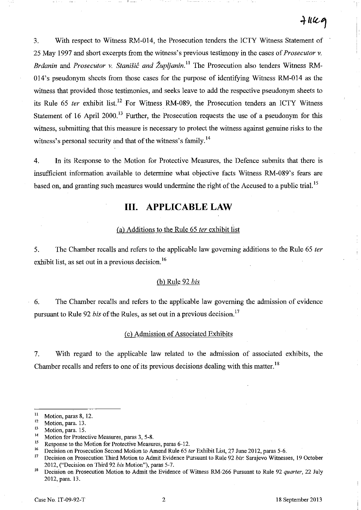I

3. With respect to Witness RM-014, the Prosecution tenders the ICTY Witness Statement of 25 May 1997 and short excerpts from the witness's previous testimony in the cases of *Prosecutor* v. *Brāanin* and *Prosecutor v. Stanišić and Župljanin*.<sup>11</sup> The Prosecution also tenders Witness RM-014's pseudonym sheets from those cases for the purpose of identifying Witness RM-014 as the witness that provided those testimonies, and seeks leave to add the respective pseudonym sheets to its Rule 65 *ter* exhibit list.<sup>12</sup> For Witness RM-089, the Prosecution tenders an ICTY Witness Statement of 16 April 2000.<sup>13</sup> Further, the Prosecution requests the use of a pseudonym for this witness, submitting that this measure is necessary to protect the witness against genuine risks to the witness's personal security and that of the witness's family.<sup>14</sup>

4. In its Response to the Motion for Protective Measures, the Defence submits that there is insufficient information available to determine what objective facts Witness RM-089's fears are based on, and granting such measures would undermine the right of the Accused to a public trial.<sup>15</sup>

# **Ill. APPLICABLE LAW**

## Ca) Additions to the Rule 65 *ter* exhibit list

5. The Chamber recalls and refers to the applicable law governing additions to the Rule 65 *ter*  exhibit list, as set out in a previous decision.<sup>16</sup>

### Cb) Rule 92 *his*

6. The Chamber recalls and refers to the applicable law governing the admission of evidence pursuant to Rule 92 *his* of the Rules, as set out in a previous decision.<sup>17</sup>

### C c) Admission of Associated Exhibits

7. With regard to the applicable law related to the admission of associated exhibits, the Chamber recalls and refers to one of its previous decisions dealing with this matter.<sup>18</sup>

<sup>&</sup>lt;sup>11</sup> Motion, paras 8, 12.<br> $\frac{12}{12}$  Motion, para 13.

<sup>&</sup>lt;sup>12</sup> Motion, para. 13.

 $\frac{13}{14}$  Motion, para. 15.

**<sup>14</sup> Motion for Protective Measures, paras 3, 5-8.** 

<sup>&</sup>lt;sup>15</sup> Response to the Motion for Protective Measures, paras 6-12.

<sup>&</sup>lt;sup>16</sup> Decision on Prosecution Second Motion to Amend Rule 65 *ter* Exhibit List, 27 June 2012, paras 5-6.<br><sup>17</sup> Decision on Prosecution Third Motion to Admit Evidence Pursuant to Pulo 92 hig Sarajayo Witness

<sup>17</sup> Decision on Prosecution Third Motion to Admit Evidence Pursuant to Rule 92 *bis:* Sarajevo Witnesses, 19 October 2012, ("Decision on Third 92 *bis* Motion"), paras 5-7.

<sup>18</sup> Decision on Prosecution Motion to Admit the Evidence of Witness RM-266 Pursuant to Rule 92 *quarter,* 22 July 2012, para. 13.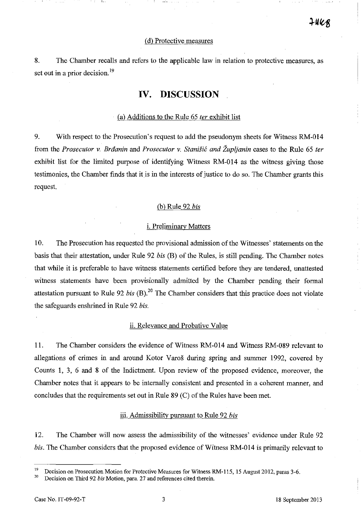#### (d) Protective measures

8. The Chamber recalls and refers to the applicable law in relation to protective measures, as set out in a prior decision.<sup>19</sup>

# **IV. DISCUSSION**

## (a) Additions to the Rule 65 *ter* exhibit list

9. With respect to the Prosecution's request to add the pseudonym sheets for Witness RM-014 from the *Prosecutor* v. *Brilanin* and *Prosecutor* v. *Stani§ic and Zupijanin* cases to the Rule 65 *ter*  exhibit list for the limited purpose of identifying Witness RM-014 as the witness giving those testimonies, the Chamber finds that it is in the interests of justice to do so. The Chamber grants this request.

## (b) Rule 92 *bis*

#### i. Preliminary Matters

10. The Prosecution has requested the provisional admission of the Witnesses' statements on the basis that their attestation, under Rule 92 *bis* (B) of the Rules, is still pending. The Chamber notes that while it is preferable to have witness statements certified before they are tendered, unattested witness statements have been provisionally admitted by the Chamber pending their formal attestation pursuant to Rule 92 *bis* (B).<sup>20</sup> The Chamber considers that this practice does not violate the safeguards enshrined in Rule 92 *bis.* 

#### ii. Relevance and Probative Value

11. The Chamber considers the evidence of Witness RM -014 and Witness RM -089 relevant to allegations of crimes in and around Kotor Varos during spring and summer 1992, covered by Counts **1,** 3, 6 and 8 of the Indictment. Upon review of the proposed evidence, moreover, the Chamber notes that it appears to be internally consistent and presented in a coherent manner, and concludes that the requirements set out in Rule 89 (C) of the Rules have been met.

#### iii. Admissibility pursuant to Rule 92 *bis*

12. The Chamber will now assess the admissibility of the witnesses' evidence under Rule 92 *bis.* The Chamber considers that the proposed evidence of Witness RM-014 is primarily relevant to

<sup>&</sup>lt;sup>19</sup> Decision on Prosecution Motion for Protective Measures for Witness RM-115, 15 August 2012, paras 3-6.<br><sup>20</sup> Decision on Third 02 kie Mation, para 27 and references sited therein

<sup>20</sup> Decision on Third 92 *his* Motion, para. 27 and references cited therein.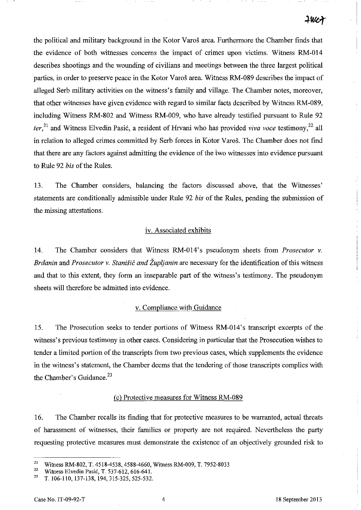the political and military background in the Kotor Varos area. Furthennore the Chamber finds that the evidence of both witnesses concerns the impact of crimes upon victims. Witness RM-OI4 describes shootings and the wounding of civilians and meetings between the three largest political parties, in order to preserve peace in the Kotor Varos area. Witness RM-089 describes the impact of alleged Serb military activities on the witness's family and village. The Chamber notes, moreover, that other witnesses have given evidence with regard to similar facts described by Witness RM-089, including Witness RM-802 and Witness RM-009, who have already testified pursuant to Rule 92 *ter*,<sup>21</sup> and Witness Elvedin Pasić, a resident of Hrvani who has provided *viva voce* testimony,<sup>22</sup> all in relation to alleged crimes committed by Serb forces in Kotor Varos. The Chamber does not find that there are any factors against admitting the evidence of the 'two witnesses into evidence pursuant to Rule 92 *bis* of the Rules.

13. The Chamber considers, balancing the factors discussed above, that the Witnesses' statements are conditionally admissible under Rule 92 *bis* of the Rules, pending the submission of the missing attestations.

### iv. Associated exhibits

14. The Chamber considers that Witness RM-Ol4's pseudonym sheets from *Prosecutor v. Brdanin* and *Prosecutor v. Stanišić and Župljanin* are necessary for the identification of this witness and that to this extent, they form an inseparable part of the witness's testimony. The pseudonym sheets will therefore be admitted into evidence.

### v. Compliance with Guidance

15. The Prosecution seeks to tender portions of Witness RM-Ol4's transcript excerpts of the witness's previous testimony in other cases. Considering in particular that the Prosecution wishes to tender a limited portion of the transcripts from two previous cases, which supplements the evidence in the witness's statement, the Chamber deems that the tendering of those transcripts complies with the Chamber's Guidance.<sup>23</sup>

### Cc) Protective measures for Witness RM-089

16. The Chamber recalls its finding that for protective measures to be warranted, actual threats of harassment of witnesses, their families or property are not required. Nevertheless the party requesting protective measures must demonstrate the existence of an objectively grounded risk to

<sup>&</sup>lt;sup>21</sup> Witness RM-802, T. 4518-4538, 4588-4660, Witness RM-009, T. 7952-8033

<sup>&</sup>lt;sup>22</sup> Witness Elvedin Pasić, T. 537-612, 616-641.<br><sup>23</sup> T. 106, 110, 127, 128, 104, 215, 225, 525, 522

<sup>23</sup>T. 106-110, 137-138, 194, 315-325, 525-532.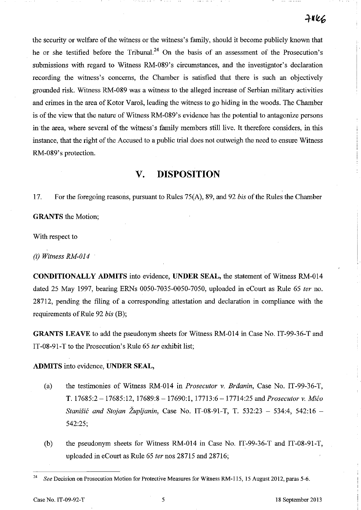the security or welfare of the witness or the witness's family, should it become publicly known that he or she testified before the Tribunal.<sup>24</sup> On the basis of an assessment of the Prosecution's submissions with regard to Witness RM-089's circumstances, and the investigator's declaration recording the witness's concerns, the Chamber is satisfied that there is such an objectively grounded risk. Witness RM -089 was a witness to the alleged increase of Serbian military activities and crimes in the area of Kotor Varos, leading the witness to go hiding in the woods. The Chamber is of the view that the nature of Witness RM-089's evidence has the potential to antagonize persons in the area, where several of the witness's family members still live. It therefore considers, in this instance, that the right of the Accused to a public trial does not outweigh the need to ensure Witness RM-089's protection.

# **V. DISPOSITION**

17. For the foregoing reasons, pursuant to Rules 75(A), 89, and 92 *bis* of the Rules the Chamber

**GRANTS** the Motion;

With respect to

*(i) Witness RM-014* 

**CONDITIONALLY ADMITS** into evidence, **UNDER SEAL,** the statement of Witness RM-014 dated 25 May 1997, bearing ERNs 0050-7035-0050-7050, uploaded in eCourt as Rule 65 *ter* no. 28712, pending the filing of a corresponding attestation and declaration in compliance with the requirements of Rule 92 *bis* (B);

**GRANTS LEAVE** to add the pseudonym sheets for Witness RM-014 in Case No. IT-99-36-T and IT -08-91-T to the Prosecution's Rule 65 *ter* exhibit list;

**ADMITS** into evidence, **UNDER SEAL,** 

- (a) the testimonies of Witness RM-014 in *Prosecutor* v. *Braanin,* Case No. IT-99-36-T, T.17685:2-17685:12, 17689:8-17690:1, 17713:6-17714:25 *andProsecutorv. Mico Stanisic and Stojan Zupljanin,* Case No. IT-08-91-T, T. 532:23 - 534:4, 542:16 - 542:25;
- (b) the pseudonym sheets for Witness RM-014 in Case No. IT-99-36-T and IT-08-91-T, uploaded in eCourt as Rule 65 *ter* nos 28715 and 28716;

Case No. IT-09-92-T 5 18 September 2013

*<sup>24</sup> See* Decision on Prosecution Motion for Protective Measures for Witness RM-115, 15 August 2012, paras 5-6.